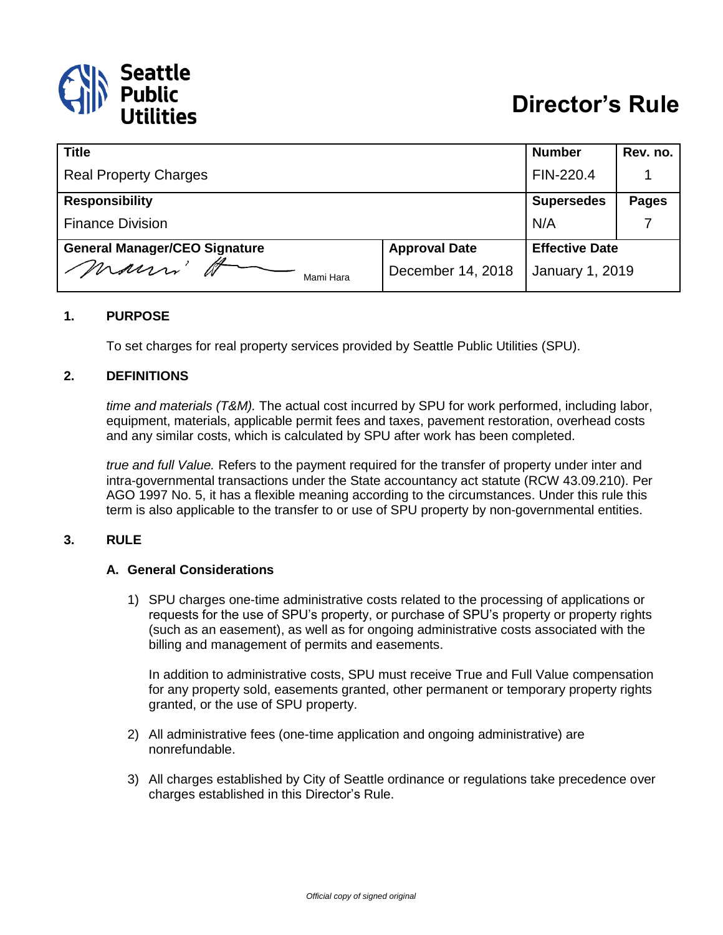

| <b>Title</b>                         |                      | <b>Number</b>         | Rev. no.     |
|--------------------------------------|----------------------|-----------------------|--------------|
| <b>Real Property Charges</b>         |                      | FIN-220.4             |              |
| <b>Responsibility</b>                |                      | <b>Supersedes</b>     | <b>Pages</b> |
| <b>Finance Division</b>              |                      | N/A                   |              |
| <b>General Manager/CEO Signature</b> | <b>Approval Date</b> | <b>Effective Date</b> |              |
| mauri'<br>Mami Hara                  | December 14, 2018    | January 1, 2019       |              |

#### **1. PURPOSE**

To set charges for real property services provided by Seattle Public Utilities (SPU).

#### **2. DEFINITIONS**

*time and materials (T&M).* The actual cost incurred by SPU for work performed, including labor, equipment, materials, applicable permit fees and taxes, pavement restoration, overhead costs and any similar costs, which is calculated by SPU after work has been completed.

*true and full Value.* Refers to the payment required for the transfer of property under inter and intra-governmental transactions under the State accountancy act statute (RCW 43.09.210). Per AGO 1997 No. 5, it has a flexible meaning according to the circumstances. Under this rule this term is also applicable to the transfer to or use of SPU property by non-governmental entities.

#### **3. RULE**

#### **A. General Considerations**

1) SPU charges one-time administrative costs related to the processing of applications or requests for the use of SPU's property, or purchase of SPU's property or property rights (such as an easement), as well as for ongoing administrative costs associated with the billing and management of permits and easements.

In addition to administrative costs, SPU must receive True and Full Value compensation for any property sold, easements granted, other permanent or temporary property rights granted, or the use of SPU property.

- 2) All administrative fees (one-time application and ongoing administrative) are nonrefundable.
- 3) All charges established by City of Seattle ordinance or regulations take precedence over charges established in this Director's Rule.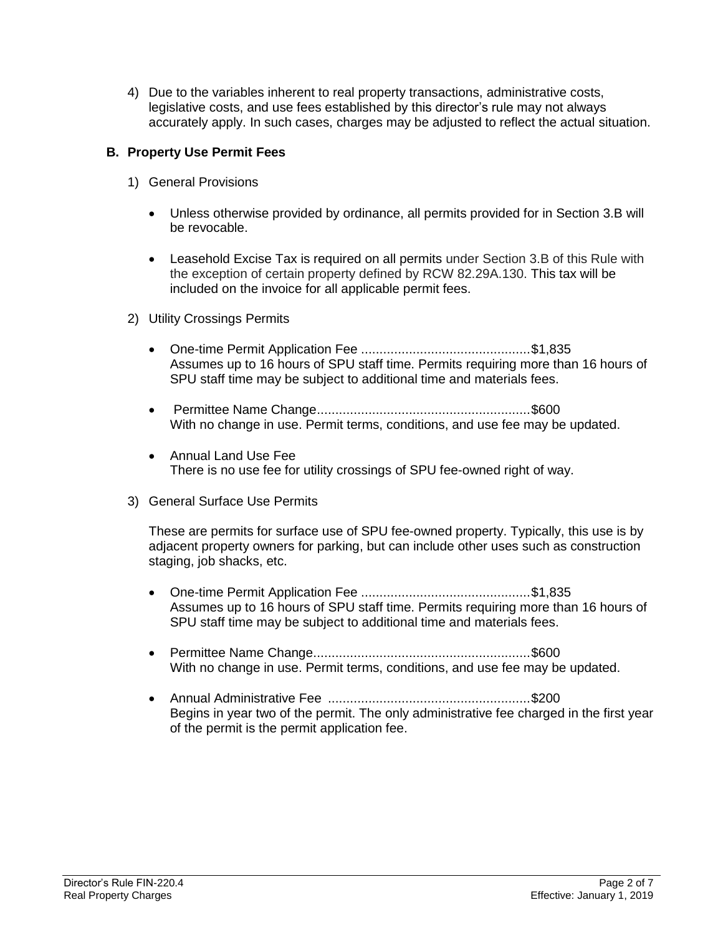4) Due to the variables inherent to real property transactions, administrative costs, legislative costs, and use fees established by this director's rule may not always accurately apply. In such cases, charges may be adjusted to reflect the actual situation.

# **B. Property Use Permit Fees**

- 1) General Provisions
	- Unless otherwise provided by ordinance, all permits provided for in Section 3.B will be revocable.
	- Leasehold Excise Tax is required on all permits under Section 3.B of this Rule with the exception of certain property defined by RCW 82.29A.130. This tax will be included on the invoice for all applicable permit fees.
- 2) Utility Crossings Permits
	- One-time Permit Application Fee ..............................................\$1,835 Assumes up to 16 hours of SPU staff time. Permits requiring more than 16 hours of SPU staff time may be subject to additional time and materials fees.
	- Permittee Name Change..........................................................\$600 With no change in use. Permit terms, conditions, and use fee may be updated.
	- Annual Land Use Fee There is no use fee for utility crossings of SPU fee-owned right of way.
- 3) General Surface Use Permits

These are permits for surface use of SPU fee-owned property. Typically, this use is by adjacent property owners for parking, but can include other uses such as construction staging, job shacks, etc.

- One-time Permit Application Fee ..............................................\$1,835 Assumes up to 16 hours of SPU staff time. Permits requiring more than 16 hours of SPU staff time may be subject to additional time and materials fees.
- Permittee Name Change...........................................................\$600 With no change in use. Permit terms, conditions, and use fee may be updated.
- Annual Administrative Fee .......................................................\$200 Begins in year two of the permit. The only administrative fee charged in the first year of the permit is the permit application fee.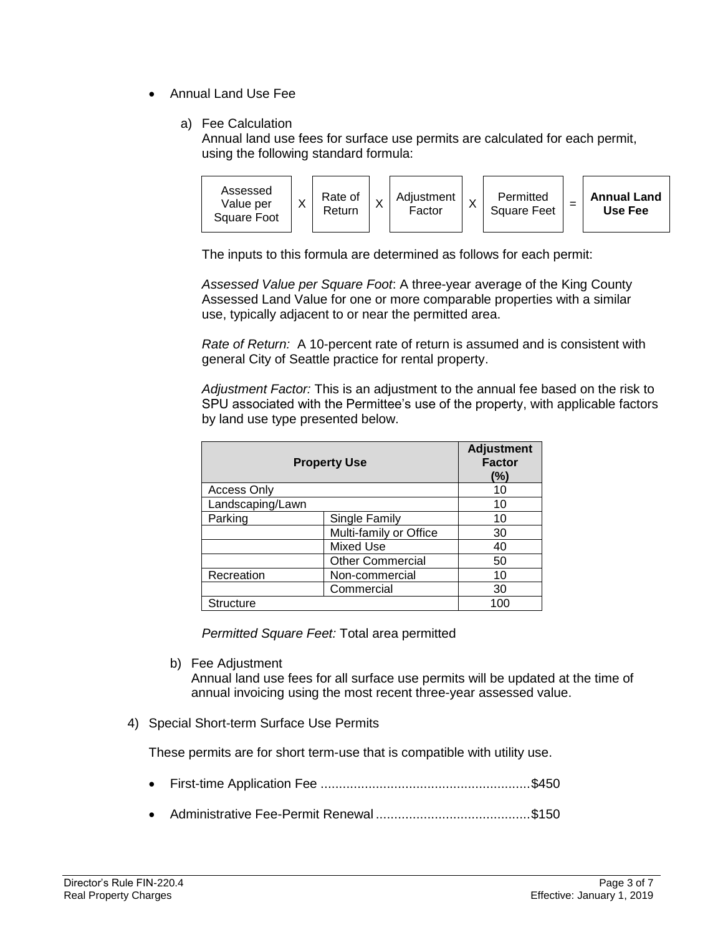- Annual Land Use Fee
	- a) Fee Calculation

Annual land use fees for surface use permits are calculated for each permit, using the following standard formula:



The inputs to this formula are determined as follows for each permit:

*Assessed Value per Square Foot*: A three-year average of the King County Assessed Land Value for one or more comparable properties with a similar use, typically adjacent to or near the permitted area.

*Rate of Return:* A 10-percent rate of return is assumed and is consistent with general City of Seattle practice for rental property.

*Adjustment Factor:* This is an adjustment to the annual fee based on the risk to SPU associated with the Permittee's use of the property, with applicable factors by land use type presented below.

| <b>Property Use</b> |                         | <b>Adjustment</b><br><b>Factor</b><br>(%) |
|---------------------|-------------------------|-------------------------------------------|
| <b>Access Only</b>  |                         | 10                                        |
| Landscaping/Lawn    |                         | 10                                        |
| Parking             | Single Family           | 10                                        |
|                     | Multi-family or Office  | 30                                        |
|                     | <b>Mixed Use</b>        | 40                                        |
|                     | <b>Other Commercial</b> | 50                                        |
| Recreation          | Non-commercial          | 10                                        |
|                     | Commercial              | 30                                        |
| <b>Structure</b>    |                         | 100                                       |

*Permitted Square Feet:* Total area permitted

b) Fee Adjustment

Annual land use fees for all surface use permits will be updated at the time of annual invoicing using the most recent three-year assessed value.

4) Special Short-term Surface Use Permits

These permits are for short term-use that is compatible with utility use.

- First-time Application Fee .........................................................\$450
- Administrative Fee-Permit Renewal ..........................................\$150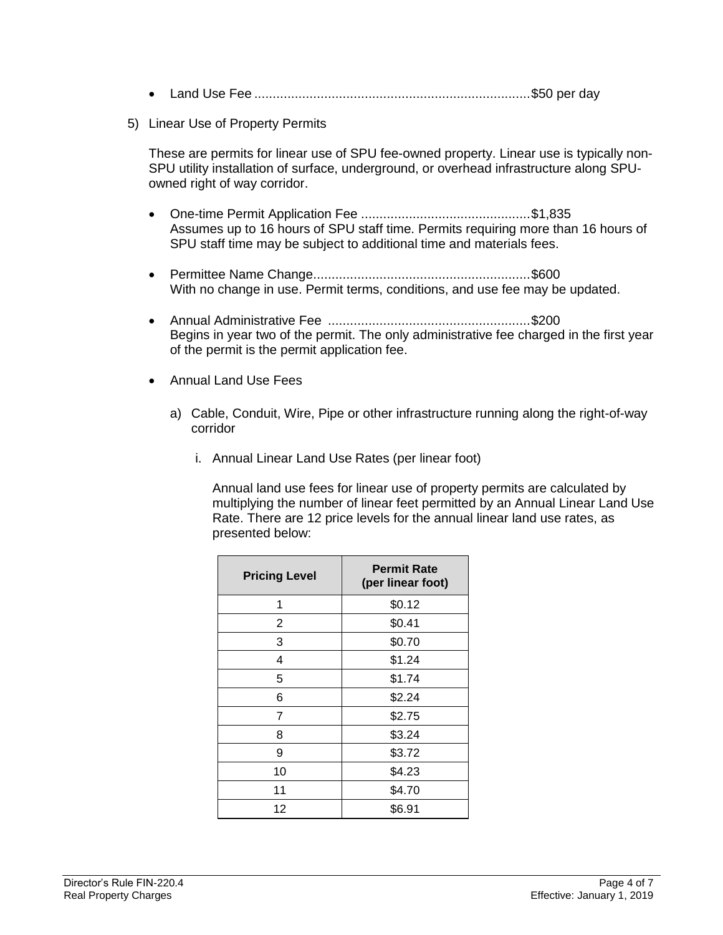|--|--|--|--|--|--|

5) Linear Use of Property Permits

These are permits for linear use of SPU fee-owned property. Linear use is typically non-SPU utility installation of surface, underground, or overhead infrastructure along SPUowned right of way corridor.

- One-time Permit Application Fee ..............................................\$1,835 Assumes up to 16 hours of SPU staff time. Permits requiring more than 16 hours of SPU staff time may be subject to additional time and materials fees.
- Permittee Name Change...........................................................\$600 With no change in use. Permit terms, conditions, and use fee may be updated.
- Annual Administrative Fee .......................................................\$200 Begins in year two of the permit. The only administrative fee charged in the first year of the permit is the permit application fee.
- Annual Land Use Fees
	- a) Cable, Conduit, Wire, Pipe or other infrastructure running along the right-of-way corridor
		- i. Annual Linear Land Use Rates (per linear foot)

Annual land use fees for linear use of property permits are calculated by multiplying the number of linear feet permitted by an Annual Linear Land Use Rate. There are 12 price levels for the annual linear land use rates, as presented below:

| <b>Pricing Level</b> | <b>Permit Rate</b><br>(per linear foot) |
|----------------------|-----------------------------------------|
| 1                    | \$0.12                                  |
| 2                    | \$0.41                                  |
| 3                    | \$0.70                                  |
| 4                    | \$1.24                                  |
| 5                    | \$1.74                                  |
| 6                    | \$2.24                                  |
| 7                    | \$2.75                                  |
| 8                    | \$3.24                                  |
| 9                    | \$3.72                                  |
| 10                   | \$4.23                                  |
| 11                   | \$4.70                                  |
| 12                   | \$6.91                                  |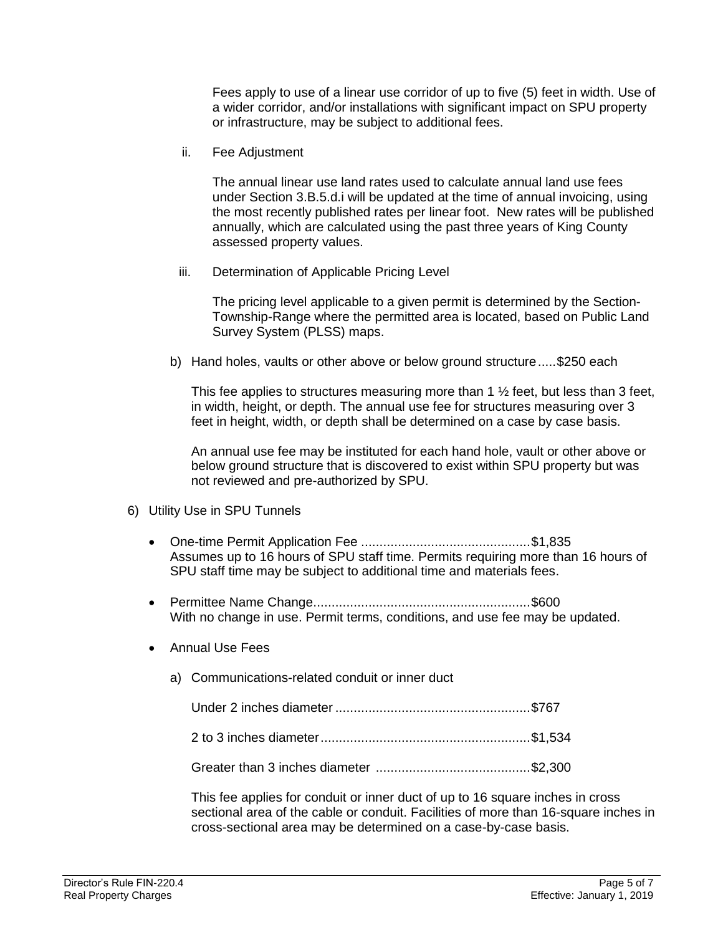Fees apply to use of a linear use corridor of up to five (5) feet in width. Use of a wider corridor, and/or installations with significant impact on SPU property or infrastructure, may be subject to additional fees.

ii. Fee Adjustment

The annual linear use land rates used to calculate annual land use fees under Section 3.B.5.d.i will be updated at the time of annual invoicing, using the most recently published rates per linear foot. New rates will be published annually, which are calculated using the past three years of King County assessed property values.

iii. Determination of Applicable Pricing Level

The pricing level applicable to a given permit is determined by the Section-Township-Range where the permitted area is located, based on Public Land Survey System (PLSS) maps.

b) Hand holes, vaults or other above or below ground structure.....\$250 each

This fee applies to structures measuring more than  $1\frac{1}{2}$  feet, but less than 3 feet, in width, height, or depth. The annual use fee for structures measuring over 3 feet in height, width, or depth shall be determined on a case by case basis.

An annual use fee may be instituted for each hand hole, vault or other above or below ground structure that is discovered to exist within SPU property but was not reviewed and pre-authorized by SPU.

- 6) Utility Use in SPU Tunnels
	- One-time Permit Application Fee ..............................................\$1,835 Assumes up to 16 hours of SPU staff time. Permits requiring more than 16 hours of SPU staff time may be subject to additional time and materials fees.
	- Permittee Name Change...........................................................\$600 With no change in use. Permit terms, conditions, and use fee may be updated.
	- Annual Use Fees
		- a) Communications-related conduit or inner duct

Under 2 inches diameter .....................................................\$767

Greater than 3 inches diameter ..........................................\$2,300

This fee applies for conduit or inner duct of up to 16 square inches in cross sectional area of the cable or conduit. Facilities of more than 16-square inches in cross-sectional area may be determined on a case-by-case basis.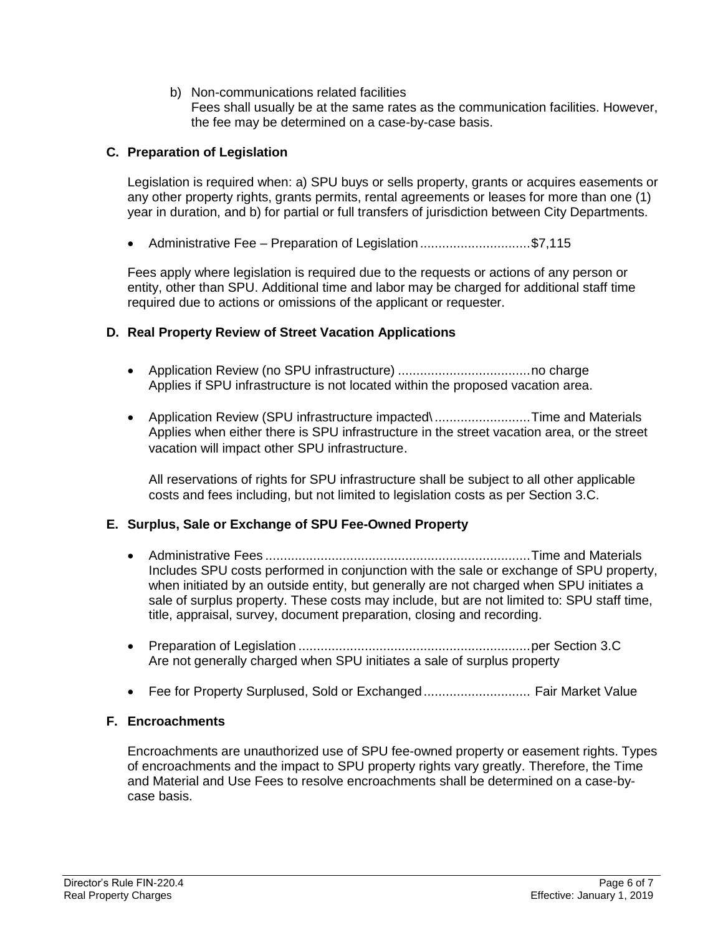b) Non-communications related facilities

Fees shall usually be at the same rates as the communication facilities. However, the fee may be determined on a case-by-case basis.

## **C. Preparation of Legislation**

Legislation is required when: a) SPU buys or sells property, grants or acquires easements or any other property rights, grants permits, rental agreements or leases for more than one (1) year in duration, and b) for partial or full transfers of jurisdiction between City Departments.

• Administrative Fee – Preparation of Legislation.............................\$7,115

Fees apply where legislation is required due to the requests or actions of any person or entity, other than SPU. Additional time and labor may be charged for additional staff time required due to actions or omissions of the applicant or requester.

## **D. Real Property Review of Street Vacation Applications**

- Application Review (no SPU infrastructure) ....................................no charge Applies if SPU infrastructure is not located within the proposed vacation area.
- Application Review (SPU infrastructure impacted\..........................Time and Materials Applies when either there is SPU infrastructure in the street vacation area, or the street vacation will impact other SPU infrastructure.

All reservations of rights for SPU infrastructure shall be subject to all other applicable costs and fees including, but not limited to legislation costs as per Section 3.C.

### **E. Surplus, Sale or Exchange of SPU Fee-Owned Property**

- Administrative Fees ........................................................................Time and Materials Includes SPU costs performed in conjunction with the sale or exchange of SPU property, when initiated by an outside entity, but generally are not charged when SPU initiates a sale of surplus property. These costs may include, but are not limited to: SPU staff time, title, appraisal, survey, document preparation, closing and recording.
- Preparation of Legislation ...............................................................per Section 3.C Are not generally charged when SPU initiates a sale of surplus property
- Fee for Property Surplused, Sold or Exchanged................................. Fair Market Value

## **F. Encroachments**

Encroachments are unauthorized use of SPU fee-owned property or easement rights. Types of encroachments and the impact to SPU property rights vary greatly. Therefore, the Time and Material and Use Fees to resolve encroachments shall be determined on a case-bycase basis.